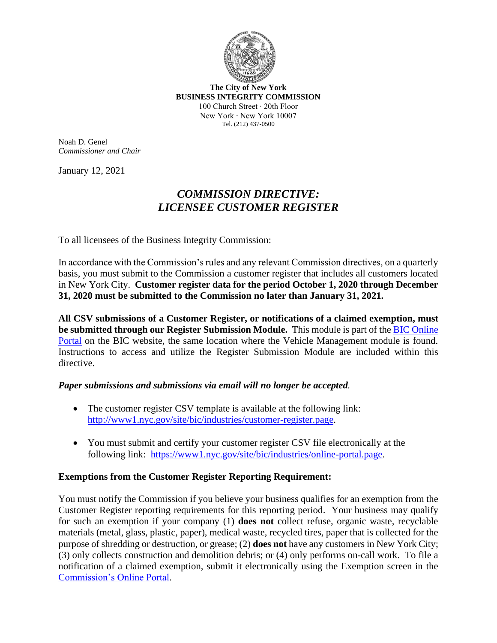

**The City of New York BUSINESS INTEGRITY COMMISSION** 100 Church Street ∙ 20th Floor New York ∙ New York 10007 Tel. (212) 437-0500

Noah D. Genel *Commissioner and Chair*

January 12, 2021

## *COMMISSION DIRECTIVE: LICENSEE CUSTOMER REGISTER*

To all licensees of the Business Integrity Commission:

In accordance with the Commission's rules and any relevant Commission directives, on a quarterly basis, you must submit to the Commission a customer register that includes all customers located in New York City. **Customer register data for the period October 1, 2020 through December 31, 2020 must be submitted to the Commission no later than January 31, 2021.**

**All CSV submissions of a Customer Register, or notifications of a claimed exemption, must be submitted through our Register Submission Module.** This module is part of the [BIC Online](https://www1.nyc.gov/site/bic/industries/online-portal.page)  [Portal](https://www1.nyc.gov/site/bic/industries/online-portal.page) on the BIC website, the same location where the Vehicle Management module is found. Instructions to access and utilize the Register Submission Module are included within this directive.

## *Paper submissions and submissions via email will no longer be accepted.*

- The customer register CSV template is available at the following link: [http://www1.nyc.gov/site/bic/industries/customer-register.page.](https://gcc01.safelinks.protection.outlook.com/?url=http%3A%2F%2Fwww1.nyc.gov%2Fsite%2Fbic%2Findustries%2Fcustomer-register.page&data=02%7C01%7CSArrona%40bic.nyc.gov%7C037cf0846d194d117d1908d845165a3b%7C32f56fc75f814e22a95b15da66513bef%7C0%7C0%7C637335309582852688&sdata=dig6WylFiHhpI5uY3F2WgYF59c9PF2bcgUb03QJDmRU%3D&reserved=0)
- You must submit and certify your customer register CSV file electronically at the following link: [https://www1.nyc.gov/site/bic/industries/online-portal.page.](https://www1.nyc.gov/site/bic/industries/online-portal.page)

## **Exemptions from the Customer Register Reporting Requirement:**

You must notify the Commission if you believe your business qualifies for an exemption from the Customer Register reporting requirements for this reporting period. Your business may qualify for such an exemption if your company (1) **does not** collect refuse, organic waste, recyclable materials (metal, glass, plastic, paper), medical waste, recycled tires, paper that is collected for the purpose of shredding or destruction, or grease; (2) **does not** have any customers in New York City; (3) only collects construction and demolition debris; or (4) only performs on-call work. To file a notification of a claimed exemption, submit it electronically using the Exemption screen in the [Commission's Online Portal.](https://www1.nyc.gov/site/bic/industries/online-portal.page)